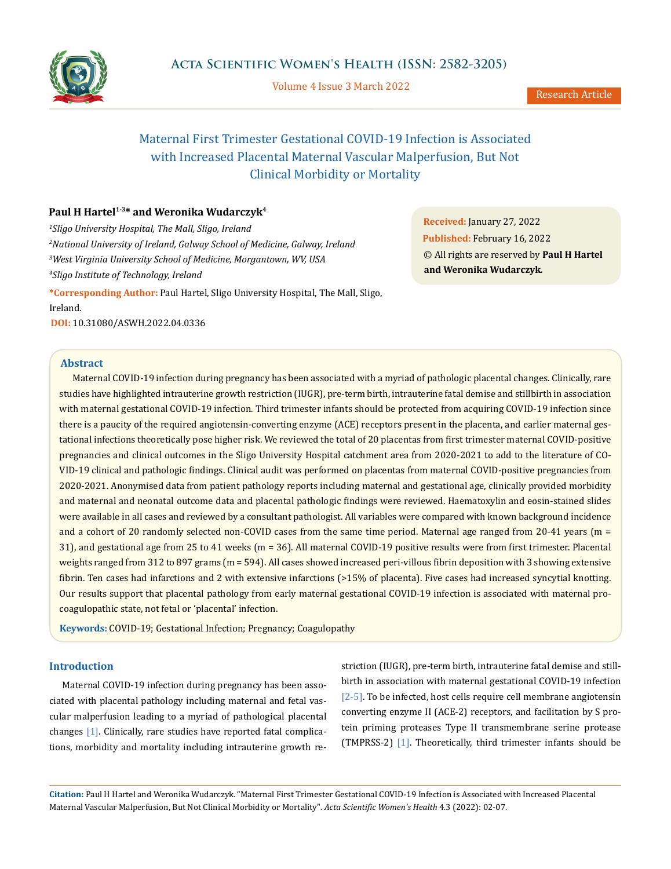

Volume 4 Issue 3 March 2022

# Maternal First Trimester Gestational COVID-19 Infection is Associated with Increased Placental Maternal Vascular Malperfusion, But Not Clinical Morbidity or Mortality

# Paul H Hartel<sup>1-3\*</sup> and Weronika Wudarczyk<sup>4</sup>

 *Sligo University Hospital, The Mall, Sligo, Ireland National University of Ireland, Galway School of Medicine, Galway, Ireland West Virginia University School of Medicine, Morgantown, WV, USA Sligo Institute of Technology, Ireland*

**\*Corresponding Author:** Paul Hartel, Sligo University Hospital, The Mall, Sligo, Ireland. **DOI:** [10.31080/ASWH.2022.04.0336](https://actascientific.com/ASWH/pdf/ASWH-04-0336.pdf)

**Received:** January 27, 2022 **Published:** February 16, 2022 © All rights are reserved by **Paul H Hartel and Weronika Wudarczyk***.* 

# **Abstract**

Maternal COVID-19 infection during pregnancy has been associated with a myriad of pathologic placental changes. Clinically, rare studies have highlighted intrauterine growth restriction (IUGR), pre-term birth, intrauterine fatal demise and stillbirth in association with maternal gestational COVID-19 infection. Third trimester infants should be protected from acquiring COVID-19 infection since there is a paucity of the required angiotensin-converting enzyme (ACE) receptors present in the placenta, and earlier maternal gestational infections theoretically pose higher risk. We reviewed the total of 20 placentas from first trimester maternal COVID-positive pregnancies and clinical outcomes in the Sligo University Hospital catchment area from 2020-2021 to add to the literature of CO-VID-19 clinical and pathologic findings. Clinical audit was performed on placentas from maternal COVID-positive pregnancies from 2020-2021. Anonymised data from patient pathology reports including maternal and gestational age, clinically provided morbidity and maternal and neonatal outcome data and placental pathologic findings were reviewed. Haematoxylin and eosin-stained slides were available in all cases and reviewed by a consultant pathologist. All variables were compared with known background incidence and a cohort of 20 randomly selected non-COVID cases from the same time period. Maternal age ranged from 20-41 years (m = 31), and gestational age from 25 to 41 weeks (m = 36). All maternal COVID-19 positive results were from first trimester. Placental weights ranged from 312 to 897 grams (m = 594). All cases showed increased peri-villous fibrin deposition with 3 showing extensive fibrin. Ten cases had infarctions and 2 with extensive infarctions (>15% of placenta). Five cases had increased syncytial knotting. Our results support that placental pathology from early maternal gestational COVID-19 infection is associated with maternal procoagulopathic state, not fetal or 'placental' infection.

**Keywords:** COVID-19; Gestational Infection; Pregnancy; Coagulopathy

## **Introduction**

Maternal COVID-19 infection during pregnancy has been associated with placental pathology including maternal and fetal vascular malperfusion leading to a myriad of pathological placental changes [1]. Clinically, rare studies have reported fatal complications, morbidity and mortality including intrauterine growth restriction (IUGR), pre-term birth, intrauterine fatal demise and stillbirth in association with maternal gestational COVID-19 infection [2-5]. To be infected, host cells require cell membrane angiotensin converting enzyme II (ACE-2) receptors, and facilitation by S protein priming proteases Type II transmembrane serine protease (TMPRSS-2) [1]. Theoretically, third trimester infants should be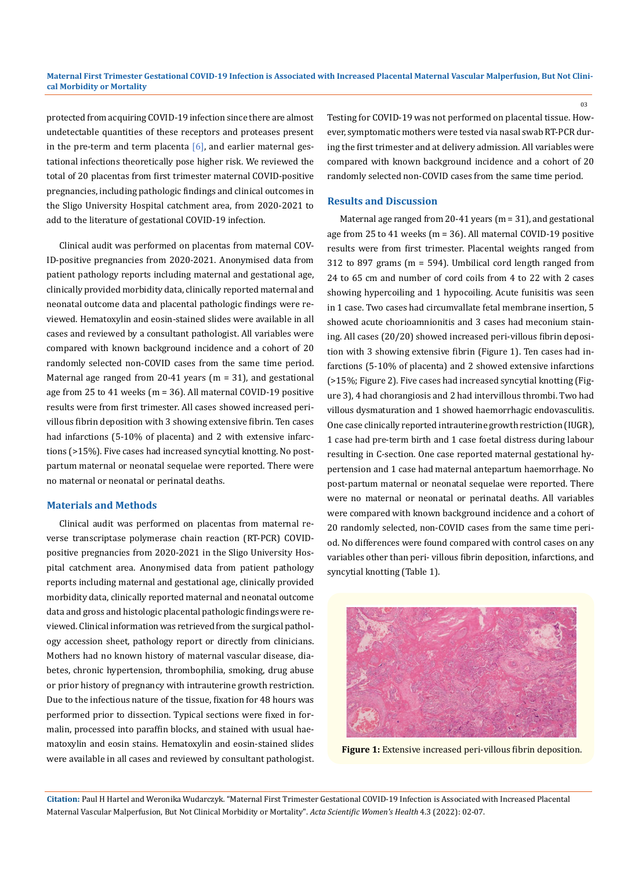#### **Maternal First Trimester Gestational COVID-19 Infection is Associated with Increased Placental Maternal Vascular Malperfusion, But Not Clinical Morbidity or Mortality**

protected from acquiring COVID-19 infection since there are almost undetectable quantities of these receptors and proteases present in the pre-term and term placenta  $[6]$ , and earlier maternal gestational infections theoretically pose higher risk. We reviewed the total of 20 placentas from first trimester maternal COVID-positive pregnancies, including pathologic findings and clinical outcomes in the Sligo University Hospital catchment area, from 2020-2021 to add to the literature of gestational COVID-19 infection.

Clinical audit was performed on placentas from maternal COV-ID-positive pregnancies from 2020-2021. Anonymised data from patient pathology reports including maternal and gestational age, clinically provided morbidity data, clinically reported maternal and neonatal outcome data and placental pathologic findings were reviewed. Hematoxylin and eosin-stained slides were available in all cases and reviewed by a consultant pathologist. All variables were compared with known background incidence and a cohort of 20 randomly selected non-COVID cases from the same time period. Maternal age ranged from 20-41 years (m = 31), and gestational age from 25 to 41 weeks (m = 36). All maternal COVID-19 positive results were from first trimester. All cases showed increased perivillous fibrin deposition with 3 showing extensive fibrin. Ten cases had infarctions (5-10% of placenta) and 2 with extensive infarctions (>15%). Five cases had increased syncytial knotting. No postpartum maternal or neonatal sequelae were reported. There were no maternal or neonatal or perinatal deaths.

#### **Materials and Methods**

Clinical audit was performed on placentas from maternal reverse transcriptase polymerase chain reaction (RT-PCR) COVIDpositive pregnancies from 2020-2021 in the Sligo University Hospital catchment area. Anonymised data from patient pathology reports including maternal and gestational age, clinically provided morbidity data, clinically reported maternal and neonatal outcome data and gross and histologic placental pathologic findings were reviewed. Clinical information was retrieved from the surgical pathology accession sheet, pathology report or directly from clinicians. Mothers had no known history of maternal vascular disease, diabetes, chronic hypertension, thrombophilia, smoking, drug abuse or prior history of pregnancy with intrauterine growth restriction. Due to the infectious nature of the tissue, fixation for 48 hours was performed prior to dissection. Typical sections were fixed in formalin, processed into paraffin blocks, and stained with usual haematoxylin and eosin stains. Hematoxylin and eosin-stained slides were available in all cases and reviewed by consultant pathologist. Testing for COVID-19 was not performed on placental tissue. However, symptomatic mothers were tested via nasal swab RT-PCR during the first trimester and at delivery admission. All variables were compared with known background incidence and a cohort of 20 randomly selected non-COVID cases from the same time period.

#### **Results and Discussion**

Maternal age ranged from 20-41 years (m = 31), and gestational age from 25 to 41 weeks (m = 36). All maternal COVID-19 positive results were from first trimester. Placental weights ranged from 312 to 897 grams (m = 594). Umbilical cord length ranged from 24 to 65 cm and number of cord coils from 4 to 22 with 2 cases showing hypercoiling and 1 hypocoiling. Acute funisitis was seen in 1 case. Two cases had circumvallate fetal membrane insertion, 5 showed acute chorioamnionitis and 3 cases had meconium staining. All cases (20/20) showed increased peri-villous fibrin deposition with 3 showing extensive fibrin (Figure 1). Ten cases had infarctions (5-10% of placenta) and 2 showed extensive infarctions (>15%; Figure 2). Five cases had increased syncytial knotting (Figure 3), 4 had chorangiosis and 2 had intervillous thrombi. Two had villous dysmaturation and 1 showed haemorrhagic endovasculitis. One case clinically reported intrauterine growth restriction (IUGR), 1 case had pre-term birth and 1 case foetal distress during labour resulting in C-section. One case reported maternal gestational hypertension and 1 case had maternal antepartum haemorrhage. No post-partum maternal or neonatal sequelae were reported. There were no maternal or neonatal or perinatal deaths. All variables were compared with known background incidence and a cohort of 20 randomly selected, non-COVID cases from the same time period. No differences were found compared with control cases on any variables other than peri- villous fibrin deposition, infarctions, and syncytial knotting (Table 1).



**Figure 1:** Extensive increased peri-villous fibrin deposition.

**Citation:** Paul H Hartel and Weronika Wudarczyk*.* "Maternal First Trimester Gestational COVID-19 Infection is Associated with Increased Placental Maternal Vascular Malperfusion, But Not Clinical Morbidity or Mortality". *Acta Scientific Women's Health* 4.3 (2022): 02-07.

03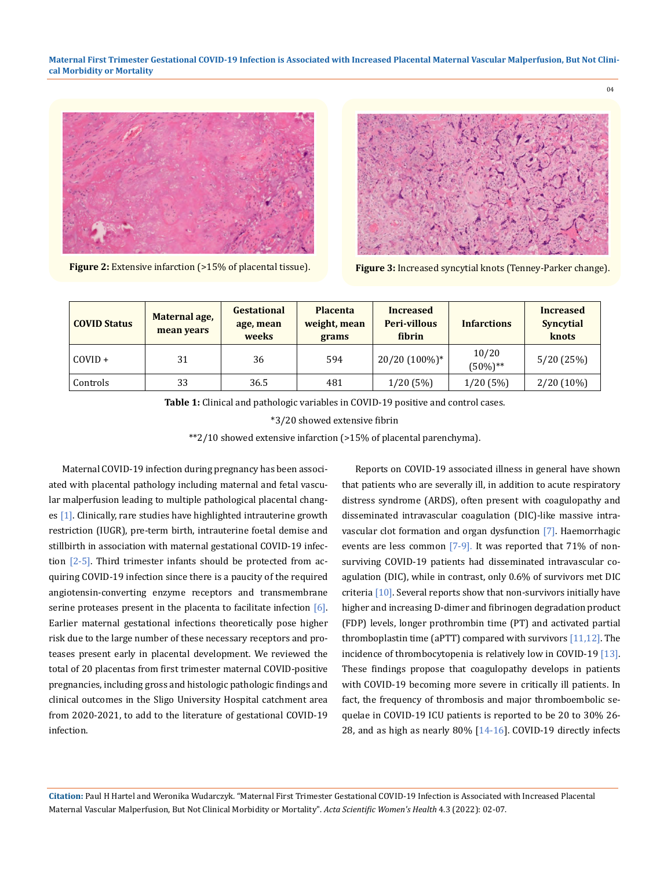**Maternal First Trimester Gestational COVID-19 Infection is Associated with Increased Placental Maternal Vascular Malperfusion, But Not Clinical Morbidity or Mortality**





 $04$ 

**Figure 2:** Extensive infarction (>15% of placental tissue). **Figure 3:** Increased syncytial knots (Tenney-Parker change).

| <b>COVID Status</b> | Maternal age,<br>mean years | <b>Gestational</b><br>age, mean<br>weeks | <b>Placenta</b><br>weight, mean<br>grams | <b>Increased</b><br><b>Peri-villous</b><br>fibrin | <b>Infarctions</b>   | <b>Increased</b><br>Syncytial<br>knots |
|---------------------|-----------------------------|------------------------------------------|------------------------------------------|---------------------------------------------------|----------------------|----------------------------------------|
| $COVID +$           | 31                          | 36                                       | 594                                      | 20/20 (100%)*                                     | 10/20<br>$(50\%)$ ** | 5/20(25%)                              |
| Controls            | 33                          | 36.5                                     | 481                                      | $1/20(5\%)$                                       | 1/20(5%)             | $2/20(10\%)$                           |

**Table 1:** Clinical and pathologic variables in COVID-19 positive and control cases.

\*3/20 showed extensive fibrin

\*\*2/10 showed extensive infarction (>15% of placental parenchyma).

Maternal COVID-19 infection during pregnancy has been associated with placental pathology including maternal and fetal vascular malperfusion leading to multiple pathological placental changes [1]. Clinically, rare studies have highlighted intrauterine growth restriction (IUGR), pre-term birth, intrauterine foetal demise and stillbirth in association with maternal gestational COVID-19 infection  $[2-5]$ . Third trimester infants should be protected from acquiring COVID-19 infection since there is a paucity of the required angiotensin-converting enzyme receptors and transmembrane serine proteases present in the placenta to facilitate infection  $[6]$ . Earlier maternal gestational infections theoretically pose higher risk due to the large number of these necessary receptors and proteases present early in placental development. We reviewed the total of 20 placentas from first trimester maternal COVID-positive pregnancies, including gross and histologic pathologic findings and clinical outcomes in the Sligo University Hospital catchment area from 2020-2021, to add to the literature of gestational COVID-19 infection.

Reports on COVID-19 associated illness in general have shown that patients who are severally ill, in addition to acute respiratory distress syndrome (ARDS), often present with coagulopathy and disseminated intravascular coagulation (DIC)-like massive intravascular clot formation and organ dysfunction [7]. Haemorrhagic events are less common [7-9]. It was reported that 71% of nonsurviving COVID-19 patients had disseminated intravascular coagulation (DIC), while in contrast, only 0.6% of survivors met DIC criteria [10]. Several reports show that non-survivors initially have higher and increasing D-dimer and fibrinogen degradation product (FDP) levels, longer prothrombin time (PT) and activated partial thromboplastin time (aPTT) compared with survivors  $[11,12]$ . The incidence of thrombocytopenia is relatively low in COVID-19 [13]. These findings propose that coagulopathy develops in patients with COVID-19 becoming more severe in critically ill patients. In fact, the frequency of thrombosis and major thromboembolic sequelae in COVID-19 ICU patients is reported to be 20 to 30% 26- 28, and as high as nearly 80% [14-16]. COVID-19 directly infects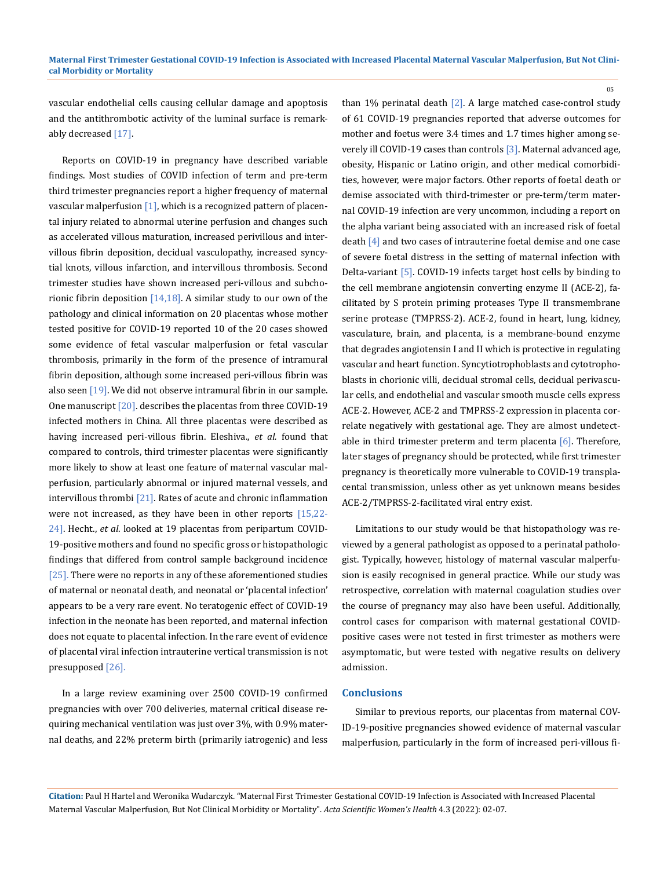vascular endothelial cells causing cellular damage and apoptosis and the antithrombotic activity of the luminal surface is remarkably decreased [17].

Reports on COVID-19 in pregnancy have described variable findings. Most studies of COVID infection of term and pre-term third trimester pregnancies report a higher frequency of maternal vascular malperfusion  $[1]$ , which is a recognized pattern of placental injury related to abnormal uterine perfusion and changes such as accelerated villous maturation, increased perivillous and intervillous fibrin deposition, decidual vasculopathy, increased syncytial knots, villous infarction, and intervillous thrombosis. Second trimester studies have shown increased peri-villous and subchorionic fibrin deposition  $[14,18]$ . A similar study to our own of the pathology and clinical information on 20 placentas whose mother tested positive for COVID-19 reported 10 of the 20 cases showed some evidence of fetal vascular malperfusion or fetal vascular thrombosis, primarily in the form of the presence of intramural fibrin deposition, although some increased peri-villous fibrin was also seen  $[19]$ . We did not observe intramural fibrin in our sample. One manuscript [20]. describes the placentas from three COVID-19 infected mothers in China. All three placentas were described as having increased peri-villous fibrin. Eleshiva., *et al.* found that compared to controls, third trimester placentas were significantly more likely to show at least one feature of maternal vascular malperfusion, particularly abnormal or injured maternal vessels, and intervillous thrombi [21]. Rates of acute and chronic inflammation were not increased, as they have been in other reports [15,22-24]. Hecht., *et al*. looked at 19 placentas from peripartum COVID-19-positive mothers and found no specific gross or histopathologic findings that differed from control sample background incidence  $[25]$ . There were no reports in any of these aforementioned studies of maternal or neonatal death, and neonatal or 'placental infection' appears to be a very rare event. No teratogenic effect of COVID-19 infection in the neonate has been reported, and maternal infection does not equate to placental infection. In the rare event of evidence of placental viral infection intrauterine vertical transmission is not presupposed [26].

In a large review examining over 2500 COVID-19 confirmed pregnancies with over 700 deliveries, maternal critical disease requiring mechanical ventilation was just over 3%, with 0.9% maternal deaths, and 22% preterm birth (primarily iatrogenic) and less

than 1% perinatal death  $[2]$ . A large matched case-control study of 61 COVID-19 pregnancies reported that adverse outcomes for mother and foetus were 3.4 times and 1.7 times higher among severely ill COVID-19 cases than controls [3]. Maternal advanced age, obesity, Hispanic or Latino origin, and other medical comorbidities, however, were major factors. Other reports of foetal death or demise associated with third-trimester or pre-term/term maternal COVID-19 infection are very uncommon, including a report on the alpha variant being associated with an increased risk of foetal death [4] and two cases of intrauterine foetal demise and one case of severe foetal distress in the setting of maternal infection with Delta-variant [5]. COVID-19 infects target host cells by binding to the cell membrane angiotensin converting enzyme II (ACE-2), facilitated by S protein priming proteases Type II transmembrane serine protease (TMPRSS-2). ACE-2, found in heart, lung, kidney, vasculature, brain, and placenta, is a membrane-bound enzyme that degrades angiotensin I and II which is protective in regulating vascular and heart function. Syncytiotrophoblasts and cytotrophoblasts in chorionic villi, decidual stromal cells, decidual perivascular cells, and endothelial and vascular smooth muscle cells express ACE-2. However, ACE-2 and TMPRSS-2 expression in placenta correlate negatively with gestational age. They are almost undetectable in third trimester preterm and term placenta  $[6]$ . Therefore, later stages of pregnancy should be protected, while first trimester pregnancy is theoretically more vulnerable to COVID-19 transplacental transmission, unless other as yet unknown means besides ACE-2/TMPRSS-2-facilitated viral entry exist.

05

Limitations to our study would be that histopathology was reviewed by a general pathologist as opposed to a perinatal pathologist. Typically, however, histology of maternal vascular malperfusion is easily recognised in general practice. While our study was retrospective, correlation with maternal coagulation studies over the course of pregnancy may also have been useful. Additionally, control cases for comparison with maternal gestational COVIDpositive cases were not tested in first trimester as mothers were asymptomatic, but were tested with negative results on delivery admission.

## **Conclusions**

Similar to previous reports, our placentas from maternal COV-ID-19-positive pregnancies showed evidence of maternal vascular malperfusion, particularly in the form of increased peri-villous fi-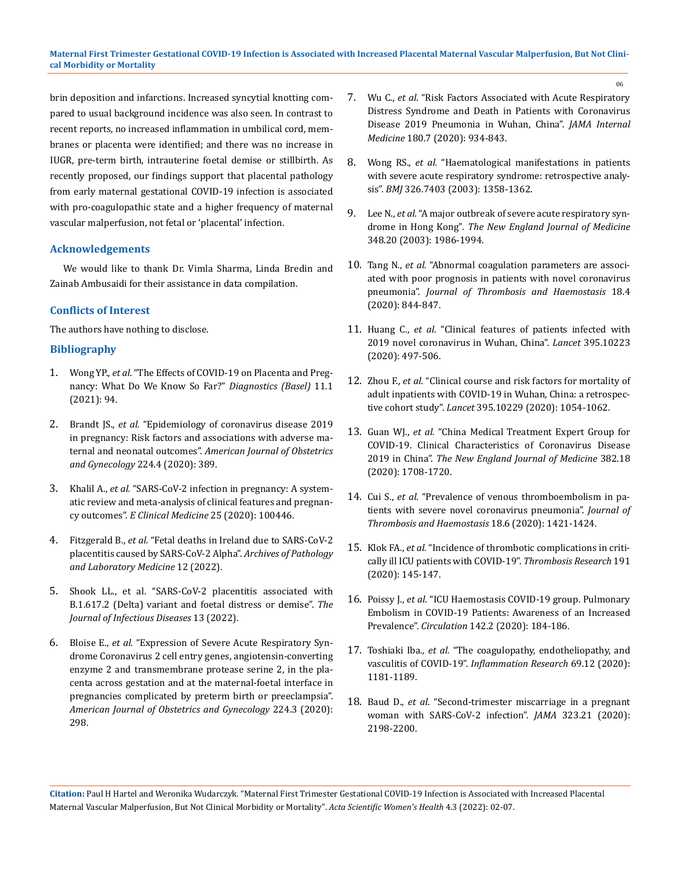brin deposition and infarctions. Increased syncytial knotting compared to usual background incidence was also seen. In contrast to recent reports, no increased inflammation in umbilical cord, membranes or placenta were identified; and there was no increase in IUGR, pre-term birth, intrauterine foetal demise or stillbirth. As recently proposed, our findings support that placental pathology from early maternal gestational COVID-19 infection is associated with pro-coagulopathic state and a higher frequency of maternal vascular malperfusion, not fetal or 'placental' infection.

# **Acknowledgements**

We would like to thank Dr. Vimla Sharma, Linda Bredin and Zainab Ambusaidi for their assistance in data compilation.

# **Conflicts of Interest**

The authors have nothing to disclose.

## **Bibliography**

- 1. Wong YP., *et al*[. "The Effects of COVID-19 on Placenta and Preg](https://pubmed.ncbi.nlm.nih.gov/33435547/)[nancy: What Do We Know So Far?"](https://pubmed.ncbi.nlm.nih.gov/33435547/) *Diagnostics (Basel)* 11.1 [\(2021\): 94.](https://pubmed.ncbi.nlm.nih.gov/33435547/)
- 2. Brandt JS., *et al.* ["Epidemiology of coronavirus disease 2019](https://pubmed.ncbi.nlm.nih.gov/32986989/)  [in pregnancy: Risk factors and associations with adverse ma](https://pubmed.ncbi.nlm.nih.gov/32986989/)ternal and neonatal outcomes". *[American Journal of Obstetrics](https://pubmed.ncbi.nlm.nih.gov/32986989/)  [and Gynecology](https://pubmed.ncbi.nlm.nih.gov/32986989/)* 224.4 (2020): 389.
- 3. Khalil A., *et al.* ["SARS-CoV-2 infection in pregnancy: A system](https://pubmed.ncbi.nlm.nih.gov/32838230/)[atic review and meta-analysis of clinical features and pregnan](https://pubmed.ncbi.nlm.nih.gov/32838230/)cy outcomes". *[E Clinical Medicine](https://pubmed.ncbi.nlm.nih.gov/32838230/)* 25 (2020): 100446.
- 4. Fitzgerald B., *et al.* ["Fetal deaths in Ireland due to SARS-CoV-2](https://pubmed.ncbi.nlm.nih.gov/35020786/)  [placentitis caused by SARS-CoV-2 Alpha".](https://pubmed.ncbi.nlm.nih.gov/35020786/) *Archives of Pathology [and Laboratory Medicine](https://pubmed.ncbi.nlm.nih.gov/35020786/)* 12 (2022).
- 5. [Shook LL., et al. "SARS-CoV-2 placentitis associated with](https://pubmed.ncbi.nlm.nih.gov/35024844/)  [B.1.617.2 \(Delta\) variant and foetal distress or demise".](https://pubmed.ncbi.nlm.nih.gov/35024844/) *The [Journal of Infectious Diseases](https://pubmed.ncbi.nlm.nih.gov/35024844/)* 13 (2022).
- 6. Bloise E., *et al.* ["Expression of Severe Acute Respiratory Syn](https://pubmed.ncbi.nlm.nih.gov/32853537/)[drome Coronavirus 2 cell entry genes, angiotensin-converting](https://pubmed.ncbi.nlm.nih.gov/32853537/)  [enzyme 2 and transmembrane protease serine 2, in the pla](https://pubmed.ncbi.nlm.nih.gov/32853537/)[centa across gestation and at the maternal-foetal interface in](https://pubmed.ncbi.nlm.nih.gov/32853537/)  [pregnancies complicated by preterm birth or preeclampsia".](https://pubmed.ncbi.nlm.nih.gov/32853537/)  *[American Journal of Obstetrics and Gynecology](https://pubmed.ncbi.nlm.nih.gov/32853537/)* 224.3 (2020): [298.](https://pubmed.ncbi.nlm.nih.gov/32853537/)

7. Wu C., *et al.* ["Risk Factors Associated with Acute Respiratory](https://pubmed.ncbi.nlm.nih.gov/32167524/)  [Distress Syndrome and Death in Patients with Coronavirus](https://pubmed.ncbi.nlm.nih.gov/32167524/)  [Disease 2019 Pneumonia in Wuhan, China".](https://pubmed.ncbi.nlm.nih.gov/32167524/) *JAMA Internal Medicine* [180.7 \(2020\): 934-843.](https://pubmed.ncbi.nlm.nih.gov/32167524/)

06

- 8. Wong RS., *et al.* ["Haematological manifestations in patients](https://pubmed.ncbi.nlm.nih.gov/12816821/)  [with severe acute respiratory syndrome: retrospective analy](https://pubmed.ncbi.nlm.nih.gov/12816821/)sis". *BMJ* [326.7403 \(2003\): 1358-1362.](https://pubmed.ncbi.nlm.nih.gov/12816821/)
- 9. Lee N., *et al.* ["A major outbreak of severe acute respiratory syn](https://pubmed.ncbi.nlm.nih.gov/12682352/)drome in Hong Kong"*. [The New England Journal of Medicine](https://pubmed.ncbi.nlm.nih.gov/12682352/)* [348.20 \(2003\): 1986-1994.](https://pubmed.ncbi.nlm.nih.gov/12682352/)
- 10. Tang N., *et al.* ["Abnormal coagulation parameters are associ](https://pubmed.ncbi.nlm.nih.gov/32073213/)[ated with poor prognosis in patients with novel coronavirus](https://pubmed.ncbi.nlm.nih.gov/32073213/)  pneumonia". *[Journal of Thrombosis and Haemostasis](https://pubmed.ncbi.nlm.nih.gov/32073213/)* 18.4 [\(2020\): 844-847.](https://pubmed.ncbi.nlm.nih.gov/32073213/)
- 11. Huang C., *et al.* ["Clinical features of patients infected with](https://pubmed.ncbi.nlm.nih.gov/31986264/)  [2019 novel coronavirus in Wuhan, China".](https://pubmed.ncbi.nlm.nih.gov/31986264/) *Lancet* 395.10223 [\(2020\): 497-506.](https://pubmed.ncbi.nlm.nih.gov/31986264/)
- 12. Zhou F., *et al.* ["Clinical course and risk factors for mortality of](https://pubmed.ncbi.nlm.nih.gov/32171076/)  [adult inpatients with COVID-19 in Wuhan, China: a retrospec](https://pubmed.ncbi.nlm.nih.gov/32171076/)tive cohort study". *Lancet* [395.10229 \(2020\): 1054-1062.](https://pubmed.ncbi.nlm.nih.gov/32171076/)
- 13. Guan WJ., *et al.* ["China Medical Treatment Expert Group for](https://pubmed.ncbi.nlm.nih.gov/32109013/)  [COVID-19. Clinical Characteristics of Coronavirus Disease](https://pubmed.ncbi.nlm.nih.gov/32109013/)  2019 in China". *[The New England Journal of Medicine](https://pubmed.ncbi.nlm.nih.gov/32109013/)* 382.18 [\(2020\): 1708-1720.](https://pubmed.ncbi.nlm.nih.gov/32109013/)
- 14. Cui S., *et al.* ["Prevalence of venous thromboembolism in pa](https://pubmed.ncbi.nlm.nih.gov/32271988/)[tients with severe novel coronavirus pneumonia".](https://pubmed.ncbi.nlm.nih.gov/32271988/) *Journal of [Thrombosis and Haemostasis](https://pubmed.ncbi.nlm.nih.gov/32271988/)* 18.6 (2020): 1421-1424.
- 15. Klok FA., *et al.* ["Incidence of thrombotic complications in criti](https://pubmed.ncbi.nlm.nih.gov/32291094/)[cally ill ICU patients with COVID-19".](https://pubmed.ncbi.nlm.nih.gov/32291094/) *Thrombosis Research* 191 [\(2020\): 145-147.](https://pubmed.ncbi.nlm.nih.gov/32291094/)
- 16. Poissy J., *et al.* ["ICU Haemostasis COVID-19 group. Pulmonary](https://pubmed.ncbi.nlm.nih.gov/32330083/)  [Embolism in COVID-19 Patients: Awareness of an Increased](https://pubmed.ncbi.nlm.nih.gov/32330083/)  Prevalence". *Circulation* [142.2 \(2020\): 184-186.](https://pubmed.ncbi.nlm.nih.gov/32330083/)
- 17. Toshiaki Iba*., et al.* ["The coagulopathy, endotheliopathy, and](https://pubmed.ncbi.nlm.nih.gov/32918567/)  vasculitis of COVID-19". *[Inflammation Research](https://pubmed.ncbi.nlm.nih.gov/32918567/)* 69.12 (2020): [1181-1189.](https://pubmed.ncbi.nlm.nih.gov/32918567/)
- 18. Baud D., *et al*[. "Second-trimester miscarriage in a pregnant](https://pubmed.ncbi.nlm.nih.gov/32352491/)  [woman with SARS-CoV-2 infection".](https://pubmed.ncbi.nlm.nih.gov/32352491/) *JAMA* 323.21 (2020): [2198-2200.](https://pubmed.ncbi.nlm.nih.gov/32352491/)